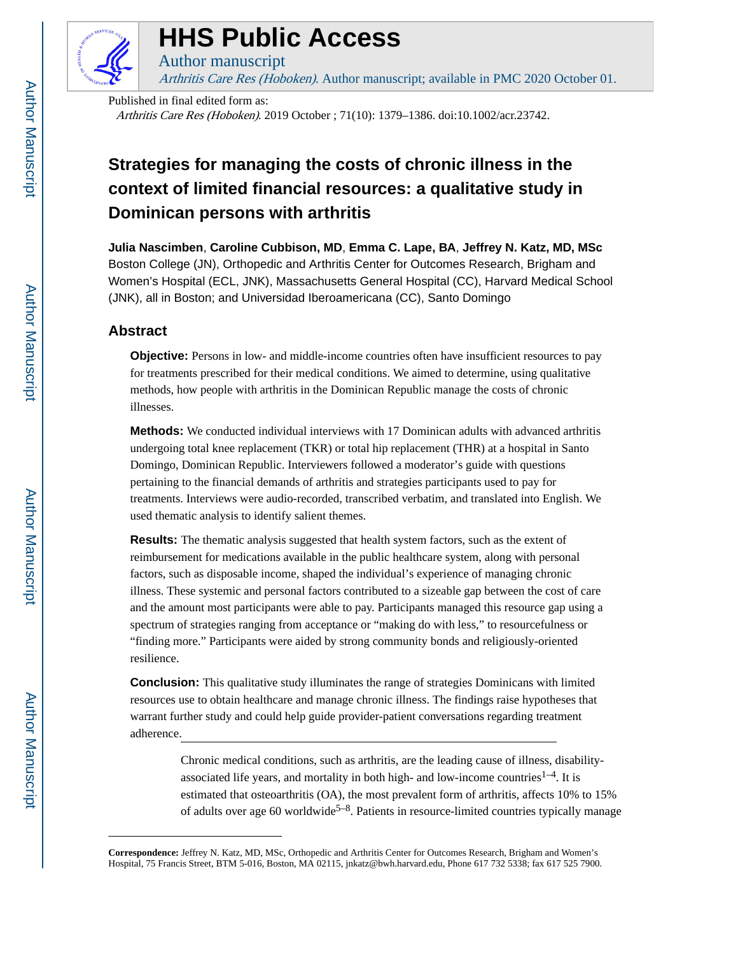

# **HHS Public Access**

Author manuscript Arthritis Care Res (Hoboken). Author manuscript; available in PMC 2020 October 01.

Published in final edited form as: Arthritis Care Res (Hoboken). 2019 October ; 71(10): 1379–1386. doi:10.1002/acr.23742.

# **Strategies for managing the costs of chronic illness in the context of limited financial resources: a qualitative study in Dominican persons with arthritis**

**Julia Nascimben**, **Caroline Cubbison, MD**, **Emma C. Lape, BA**, **Jeffrey N. Katz, MD, MSc** Boston College (JN), Orthopedic and Arthritis Center for Outcomes Research, Brigham and Women's Hospital (ECL, JNK), Massachusetts General Hospital (CC), Harvard Medical School (JNK), all in Boston; and Universidad Iberoamericana (CC), Santo Domingo

# **Abstract**

**Objective:** Persons in low- and middle-income countries often have insufficient resources to pay for treatments prescribed for their medical conditions. We aimed to determine, using qualitative methods, how people with arthritis in the Dominican Republic manage the costs of chronic illnesses.

**Methods:** We conducted individual interviews with 17 Dominican adults with advanced arthritis undergoing total knee replacement (TKR) or total hip replacement (THR) at a hospital in Santo Domingo, Dominican Republic. Interviewers followed a moderator's guide with questions pertaining to the financial demands of arthritis and strategies participants used to pay for treatments. Interviews were audio-recorded, transcribed verbatim, and translated into English. We used thematic analysis to identify salient themes.

**Results:** The thematic analysis suggested that health system factors, such as the extent of reimbursement for medications available in the public healthcare system, along with personal factors, such as disposable income, shaped the individual's experience of managing chronic illness. These systemic and personal factors contributed to a sizeable gap between the cost of care and the amount most participants were able to pay. Participants managed this resource gap using a spectrum of strategies ranging from acceptance or "making do with less," to resourcefulness or "finding more." Participants were aided by strong community bonds and religiously-oriented resilience.

**Conclusion:** This qualitative study illuminates the range of strategies Dominicans with limited resources use to obtain healthcare and manage chronic illness. The findings raise hypotheses that warrant further study and could help guide provider-patient conversations regarding treatment adherence.

> Chronic medical conditions, such as arthritis, are the leading cause of illness, disabilityassociated life years, and mortality in both high- and low-income countries<sup>1-4</sup>. It is estimated that osteoarthritis (OA), the most prevalent form of arthritis, affects 10% to 15% of adults over age 60 worldwide<sup>5-8</sup>. Patients in resource-limited countries typically manage

**Correspondence:** Jeffrey N. Katz, MD, MSc, Orthopedic and Arthritis Center for Outcomes Research, Brigham and Women's Hospital, 75 Francis Street, BTM 5-016, Boston, MA 02115, jnkatz@bwh.harvard.edu, Phone 617 732 5338; fax 617 525 7900.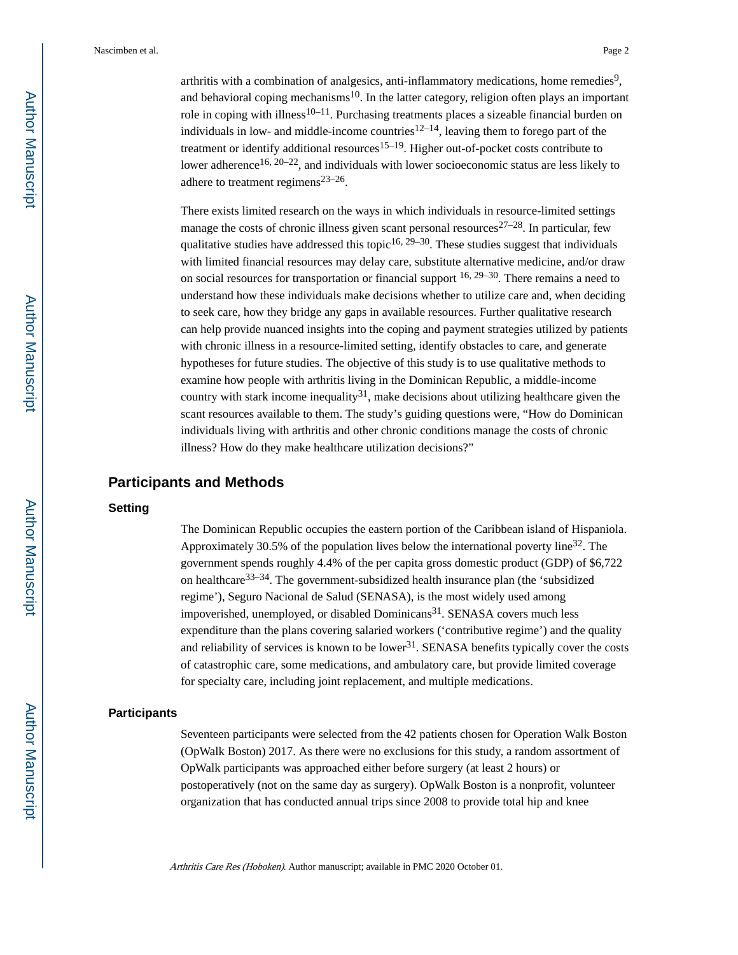arthritis with a combination of analgesics, anti-inflammatory medications, home remedies<sup>9</sup>, and behavioral coping mechanisms<sup>10</sup>. In the latter category, religion often plays an important role in coping with illness<sup>10–11</sup>. Purchasing treatments places a sizeable financial burden on individuals in low- and middle-income countries<sup>12–14</sup>, leaving them to forego part of the treatment or identify additional resources<sup>15–19</sup>. Higher out-of-pocket costs contribute to lower adherence<sup>16, 20–22</sup>, and individuals with lower socioeconomic status are less likely to adhere to treatment regimens $23-26$ .

There exists limited research on the ways in which individuals in resource-limited settings manage the costs of chronic illness given scant personal resources<sup>27–28</sup>. In particular, few qualitative studies have addressed this topic<sup>16, 29–30</sup>. These studies suggest that individuals with limited financial resources may delay care, substitute alternative medicine, and/or draw on social resources for transportation or financial support  $16, 29-30$ . There remains a need to understand how these individuals make decisions whether to utilize care and, when deciding to seek care, how they bridge any gaps in available resources. Further qualitative research can help provide nuanced insights into the coping and payment strategies utilized by patients with chronic illness in a resource-limited setting, identify obstacles to care, and generate hypotheses for future studies. The objective of this study is to use qualitative methods to examine how people with arthritis living in the Dominican Republic, a middle-income country with stark income inequality<sup>31</sup>, make decisions about utilizing healthcare given the scant resources available to them. The study's guiding questions were, "How do Dominican individuals living with arthritis and other chronic conditions manage the costs of chronic illness? How do they make healthcare utilization decisions?"

# **Participants and Methods**

## **Setting**

The Dominican Republic occupies the eastern portion of the Caribbean island of Hispaniola. Approximately 30.5% of the population lives below the international poverty line<sup>32</sup>. The government spends roughly 4.4% of the per capita gross domestic product (GDP) of \$6,722 on healthcare<sup>33–34</sup>. The government-subsidized health insurance plan (the 'subsidized regime'), Seguro Nacional de Salud (SENASA), is the most widely used among impoverished, unemployed, or disabled Dominicans<sup>31</sup>. SENASA covers much less expenditure than the plans covering salaried workers ('contributive regime') and the quality and reliability of services is known to be lower<sup>31</sup>. SENASA benefits typically cover the costs of catastrophic care, some medications, and ambulatory care, but provide limited coverage for specialty care, including joint replacement, and multiple medications.

#### **Participants**

Seventeen participants were selected from the 42 patients chosen for Operation Walk Boston (OpWalk Boston) 2017. As there were no exclusions for this study, a random assortment of OpWalk participants was approached either before surgery (at least 2 hours) or postoperatively (not on the same day as surgery). OpWalk Boston is a nonprofit, volunteer organization that has conducted annual trips since 2008 to provide total hip and knee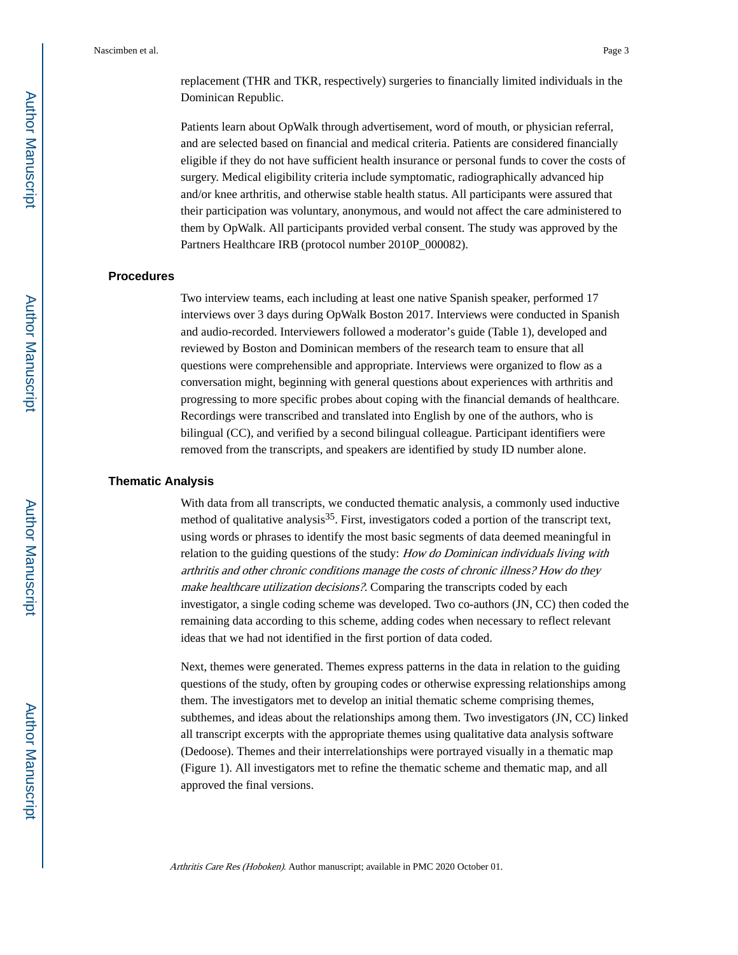replacement (THR and TKR, respectively) surgeries to financially limited individuals in the Dominican Republic.

Patients learn about OpWalk through advertisement, word of mouth, or physician referral, and are selected based on financial and medical criteria. Patients are considered financially eligible if they do not have sufficient health insurance or personal funds to cover the costs of surgery. Medical eligibility criteria include symptomatic, radiographically advanced hip and/or knee arthritis, and otherwise stable health status. All participants were assured that their participation was voluntary, anonymous, and would not affect the care administered to them by OpWalk. All participants provided verbal consent. The study was approved by the Partners Healthcare IRB (protocol number 2010P\_000082).

#### **Procedures**

Two interview teams, each including at least one native Spanish speaker, performed 17 interviews over 3 days during OpWalk Boston 2017. Interviews were conducted in Spanish and audio-recorded. Interviewers followed a moderator's guide (Table 1), developed and reviewed by Boston and Dominican members of the research team to ensure that all questions were comprehensible and appropriate. Interviews were organized to flow as a conversation might, beginning with general questions about experiences with arthritis and progressing to more specific probes about coping with the financial demands of healthcare. Recordings were transcribed and translated into English by one of the authors, who is bilingual (CC), and verified by a second bilingual colleague. Participant identifiers were removed from the transcripts, and speakers are identified by study ID number alone.

#### **Thematic Analysis**

With data from all transcripts, we conducted thematic analysis, a commonly used inductive method of qualitative analysis<sup>35</sup>. First, investigators coded a portion of the transcript text, using words or phrases to identify the most basic segments of data deemed meaningful in relation to the guiding questions of the study: How do Dominican individuals living with arthritis and other chronic conditions manage the costs of chronic illness? How do they make healthcare utilization decisions?. Comparing the transcripts coded by each investigator, a single coding scheme was developed. Two co-authors (JN, CC) then coded the remaining data according to this scheme, adding codes when necessary to reflect relevant ideas that we had not identified in the first portion of data coded.

Next, themes were generated. Themes express patterns in the data in relation to the guiding questions of the study, often by grouping codes or otherwise expressing relationships among them. The investigators met to develop an initial thematic scheme comprising themes, subthemes, and ideas about the relationships among them. Two investigators (JN, CC) linked all transcript excerpts with the appropriate themes using qualitative data analysis software (Dedoose). Themes and their interrelationships were portrayed visually in a thematic map (Figure 1). All investigators met to refine the thematic scheme and thematic map, and all approved the final versions.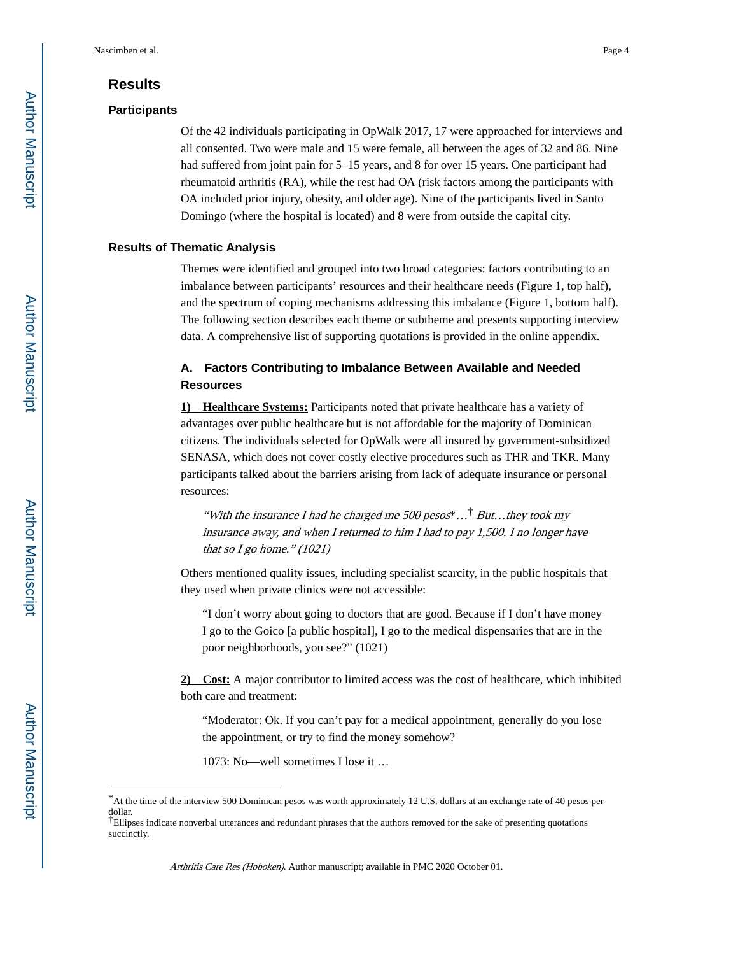# **Results**

#### **Participants**

Of the 42 individuals participating in OpWalk 2017, 17 were approached for interviews and all consented. Two were male and 15 were female, all between the ages of 32 and 86. Nine had suffered from joint pain for 5–15 years, and 8 for over 15 years. One participant had rheumatoid arthritis (RA), while the rest had OA (risk factors among the participants with OA included prior injury, obesity, and older age). Nine of the participants lived in Santo Domingo (where the hospital is located) and 8 were from outside the capital city.

#### **Results of Thematic Analysis**

Themes were identified and grouped into two broad categories: factors contributing to an imbalance between participants' resources and their healthcare needs (Figure 1, top half), and the spectrum of coping mechanisms addressing this imbalance (Figure 1, bottom half). The following section describes each theme or subtheme and presents supporting interview data. A comprehensive list of supporting quotations is provided in the online appendix.

# **A. Factors Contributing to Imbalance Between Available and Needed Resources**

**1) Healthcare Systems:** Participants noted that private healthcare has a variety of advantages over public healthcare but is not affordable for the majority of Dominican citizens. The individuals selected for OpWalk were all insured by government-subsidized SENASA, which does not cover costly elective procedures such as THR and TKR. Many participants talked about the barriers arising from lack of adequate insurance or personal resources:

"With the insurance I had he charged me  $500$  pesos"...<sup>†</sup> But...they took my insurance away, and when I returned to him I had to pay 1,500. I no longer have that so I go home."  $(1021)$ 

Others mentioned quality issues, including specialist scarcity, in the public hospitals that they used when private clinics were not accessible:

"I don't worry about going to doctors that are good. Because if I don't have money I go to the Goico [a public hospital], I go to the medical dispensaries that are in the poor neighborhoods, you see?" (1021)

**2) Cost:** A major contributor to limited access was the cost of healthcare, which inhibited both care and treatment:

"Moderator: Ok. If you can't pay for a medical appointment, generally do you lose the appointment, or try to find the money somehow?

1073: No—well sometimes I lose it …

<sup>\*</sup>At the time of the interview 500 Dominican pesos was worth approximately 12 U.S. dollars at an exchange rate of 40 pesos per dollar. †Ellipses indicate nonverbal utterances and redundant phrases that the authors removed for the sake of presenting quotations

succinctly.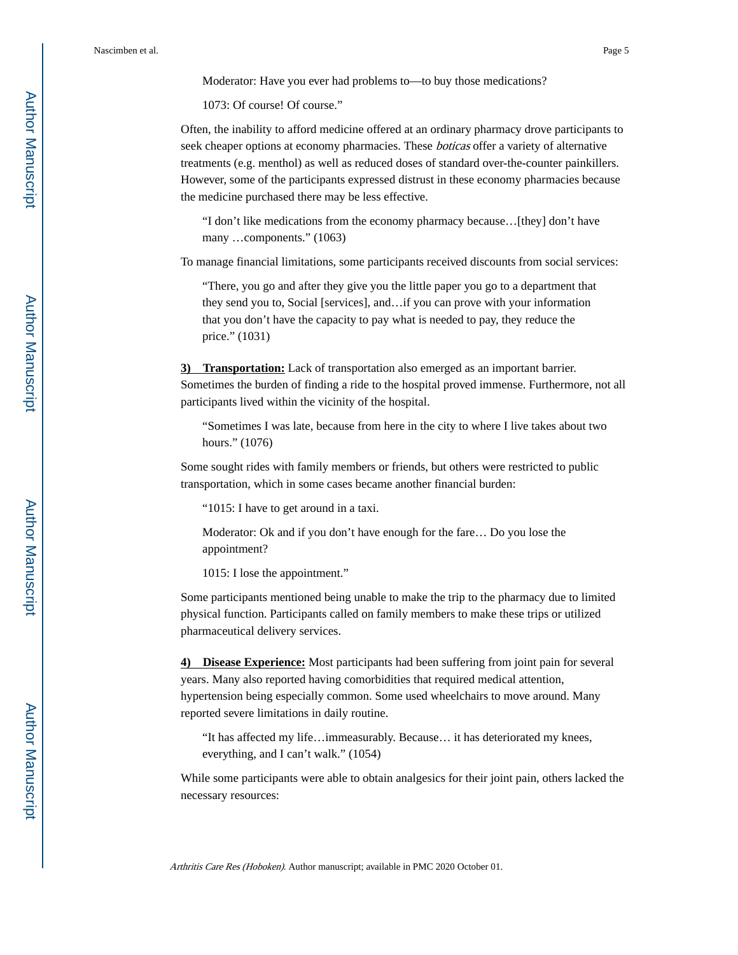Moderator: Have you ever had problems to—to buy those medications?

1073: Of course! Of course."

Often, the inability to afford medicine offered at an ordinary pharmacy drove participants to seek cheaper options at economy pharmacies. These boticas offer a variety of alternative treatments (e.g. menthol) as well as reduced doses of standard over-the-counter painkillers. However, some of the participants expressed distrust in these economy pharmacies because the medicine purchased there may be less effective.

"I don't like medications from the economy pharmacy because…[they] don't have many …components." (1063)

To manage financial limitations, some participants received discounts from social services:

"There, you go and after they give you the little paper you go to a department that they send you to, Social [services], and…if you can prove with your information that you don't have the capacity to pay what is needed to pay, they reduce the price." (1031)

**3) Transportation:** Lack of transportation also emerged as an important barrier. Sometimes the burden of finding a ride to the hospital proved immense. Furthermore, not all participants lived within the vicinity of the hospital.

"Sometimes I was late, because from here in the city to where I live takes about two hours." (1076)

Some sought rides with family members or friends, but others were restricted to public transportation, which in some cases became another financial burden:

"1015: I have to get around in a taxi.

Moderator: Ok and if you don't have enough for the fare… Do you lose the appointment?

1015: I lose the appointment."

Some participants mentioned being unable to make the trip to the pharmacy due to limited physical function. Participants called on family members to make these trips or utilized pharmaceutical delivery services.

**4) Disease Experience:** Most participants had been suffering from joint pain for several years. Many also reported having comorbidities that required medical attention, hypertension being especially common. Some used wheelchairs to move around. Many reported severe limitations in daily routine.

"It has affected my life…immeasurably. Because… it has deteriorated my knees, everything, and I can't walk." (1054)

While some participants were able to obtain analgesics for their joint pain, others lacked the necessary resources: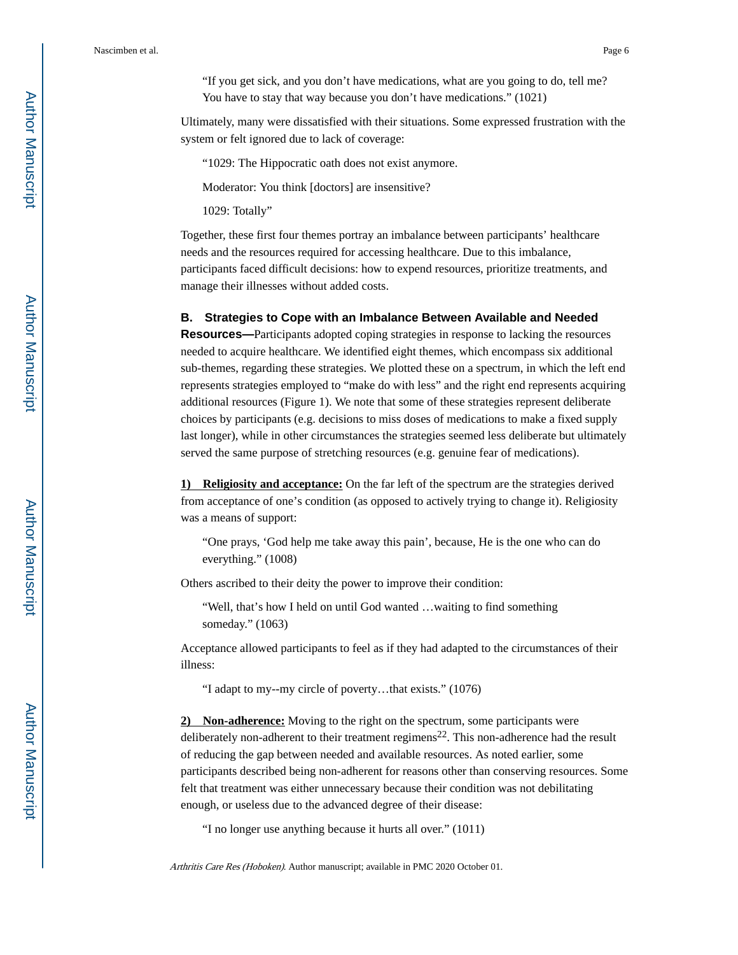"If you get sick, and you don't have medications, what are you going to do, tell me? You have to stay that way because you don't have medications." (1021)

Ultimately, many were dissatisfied with their situations. Some expressed frustration with the system or felt ignored due to lack of coverage:

"1029: The Hippocratic oath does not exist anymore.

Moderator: You think [doctors] are insensitive?

1029: Totally"

Together, these first four themes portray an imbalance between participants' healthcare needs and the resources required for accessing healthcare. Due to this imbalance, participants faced difficult decisions: how to expend resources, prioritize treatments, and manage their illnesses without added costs.

#### **B. Strategies to Cope with an Imbalance Between Available and Needed**

**Resources—**Participants adopted coping strategies in response to lacking the resources needed to acquire healthcare. We identified eight themes, which encompass six additional sub-themes, regarding these strategies. We plotted these on a spectrum, in which the left end represents strategies employed to "make do with less" and the right end represents acquiring additional resources (Figure 1). We note that some of these strategies represent deliberate choices by participants (e.g. decisions to miss doses of medications to make a fixed supply last longer), while in other circumstances the strategies seemed less deliberate but ultimately served the same purpose of stretching resources (e.g. genuine fear of medications).

**1) Religiosity and acceptance:** On the far left of the spectrum are the strategies derived from acceptance of one's condition (as opposed to actively trying to change it). Religiosity was a means of support:

"One prays, 'God help me take away this pain', because, He is the one who can do everything." (1008)

Others ascribed to their deity the power to improve their condition:

"Well, that's how I held on until God wanted …waiting to find something someday." (1063)

Acceptance allowed participants to feel as if they had adapted to the circumstances of their illness:

"I adapt to my--my circle of poverty…that exists." (1076)

**2) Non-adherence:** Moving to the right on the spectrum, some participants were deliberately non-adherent to their treatment regimens<sup>22</sup>. This non-adherence had the result of reducing the gap between needed and available resources. As noted earlier, some participants described being non-adherent for reasons other than conserving resources. Some felt that treatment was either unnecessary because their condition was not debilitating enough, or useless due to the advanced degree of their disease:

"I no longer use anything because it hurts all over." (1011)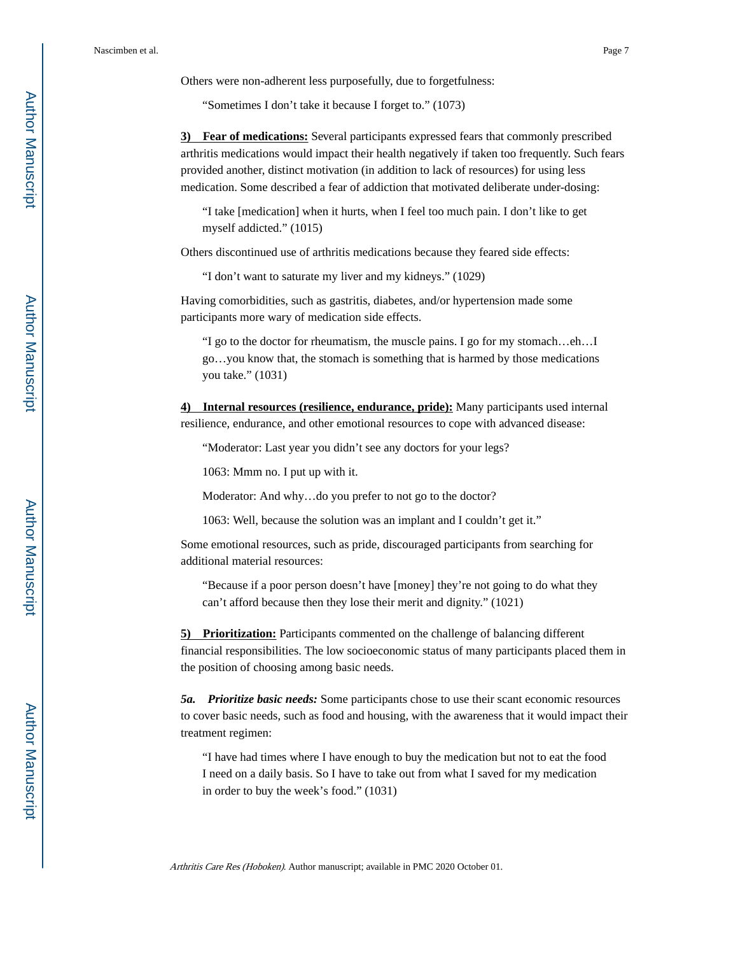Others were non-adherent less purposefully, due to forgetfulness:

"Sometimes I don't take it because I forget to." (1073)

**3) Fear of medications:** Several participants expressed fears that commonly prescribed arthritis medications would impact their health negatively if taken too frequently. Such fears provided another, distinct motivation (in addition to lack of resources) for using less medication. Some described a fear of addiction that motivated deliberate under-dosing:

"I take [medication] when it hurts, when I feel too much pain. I don't like to get myself addicted." (1015)

Others discontinued use of arthritis medications because they feared side effects:

"I don't want to saturate my liver and my kidneys." (1029)

Having comorbidities, such as gastritis, diabetes, and/or hypertension made some participants more wary of medication side effects.

"I go to the doctor for rheumatism, the muscle pains. I go for my stomach…eh…I go…you know that, the stomach is something that is harmed by those medications you take." (1031)

**4) Internal resources (resilience, endurance, pride):** Many participants used internal resilience, endurance, and other emotional resources to cope with advanced disease:

"Moderator: Last year you didn't see any doctors for your legs?

1063: Mmm no. I put up with it.

Moderator: And why…do you prefer to not go to the doctor?

1063: Well, because the solution was an implant and I couldn't get it."

Some emotional resources, such as pride, discouraged participants from searching for additional material resources:

"Because if a poor person doesn't have [money] they're not going to do what they can't afford because then they lose their merit and dignity." (1021)

**5) Prioritization:** Participants commented on the challenge of balancing different financial responsibilities. The low socioeconomic status of many participants placed them in the position of choosing among basic needs.

*5a. Prioritize basic needs:* Some participants chose to use their scant economic resources to cover basic needs, such as food and housing, with the awareness that it would impact their treatment regimen:

"I have had times where I have enough to buy the medication but not to eat the food I need on a daily basis. So I have to take out from what I saved for my medication in order to buy the week's food." (1031)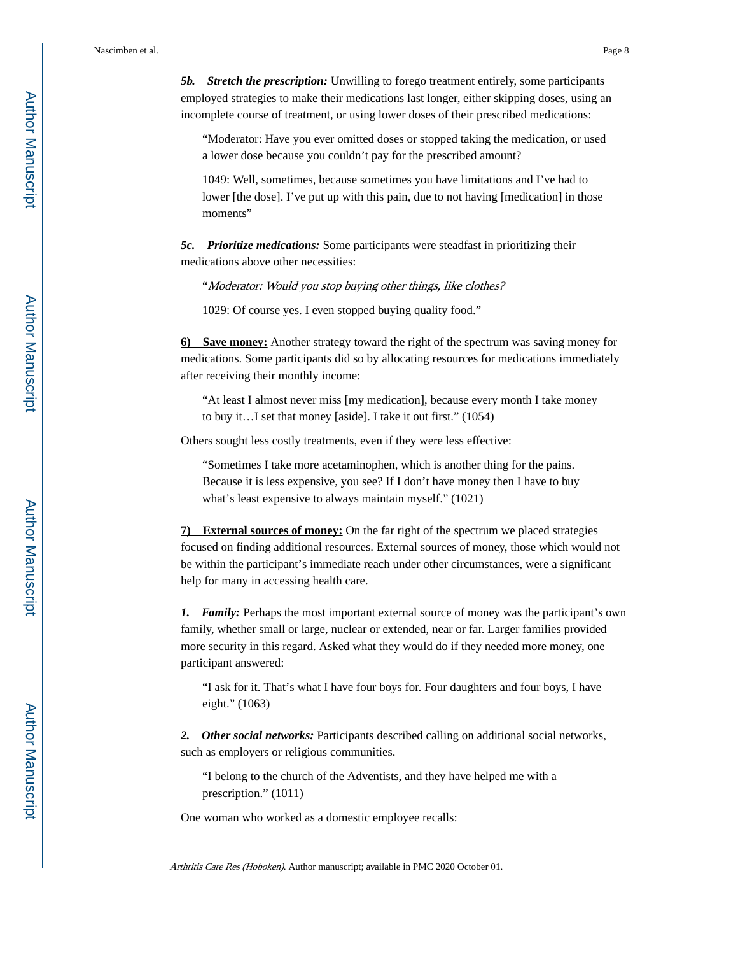*5b. Stretch the prescription:* Unwilling to forego treatment entirely, some participants employed strategies to make their medications last longer, either skipping doses, using an incomplete course of treatment, or using lower doses of their prescribed medications:

"Moderator: Have you ever omitted doses or stopped taking the medication, or used a lower dose because you couldn't pay for the prescribed amount?

1049: Well, sometimes, because sometimes you have limitations and I've had to lower [the dose]. I've put up with this pain, due to not having [medication] in those moments"

*5c. Prioritize medications:* Some participants were steadfast in prioritizing their medications above other necessities:

"Moderator: Would you stop buying other things, like clothes?

1029: Of course yes. I even stopped buying quality food."

**6) Save money:** Another strategy toward the right of the spectrum was saving money for medications. Some participants did so by allocating resources for medications immediately after receiving their monthly income:

"At least I almost never miss [my medication], because every month I take money to buy it…I set that money [aside]. I take it out first." (1054)

Others sought less costly treatments, even if they were less effective:

"Sometimes I take more acetaminophen, which is another thing for the pains. Because it is less expensive, you see? If I don't have money then I have to buy what's least expensive to always maintain myself." (1021)

**7) External sources of money:** On the far right of the spectrum we placed strategies focused on finding additional resources. External sources of money, those which would not be within the participant's immediate reach under other circumstances, were a significant help for many in accessing health care.

*1. Family:* Perhaps the most important external source of money was the participant's own family, whether small or large, nuclear or extended, near or far. Larger families provided more security in this regard. Asked what they would do if they needed more money, one participant answered:

"I ask for it. That's what I have four boys for. Four daughters and four boys, I have eight." (1063)

*2. Other social networks:* Participants described calling on additional social networks, such as employers or religious communities.

"I belong to the church of the Adventists, and they have helped me with a prescription." (1011)

One woman who worked as a domestic employee recalls: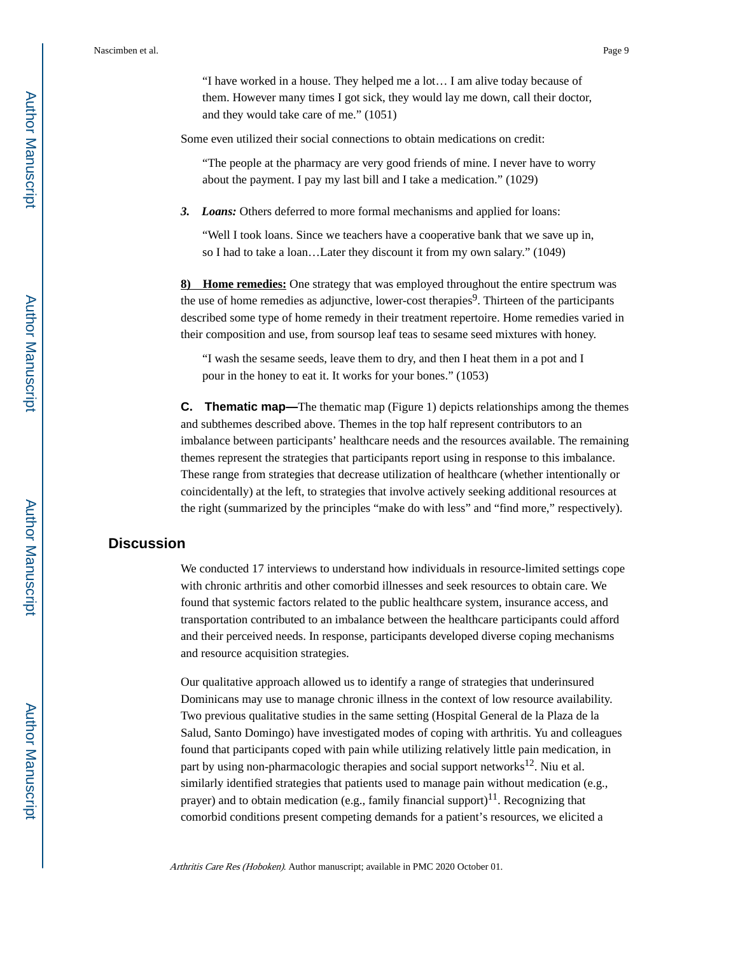"I have worked in a house. They helped me a lot… I am alive today because of them. However many times I got sick, they would lay me down, call their doctor, and they would take care of me." (1051)

Some even utilized their social connections to obtain medications on credit:

"The people at the pharmacy are very good friends of mine. I never have to worry about the payment. I pay my last bill and I take a medication." (1029)

*3. Loans:* Others deferred to more formal mechanisms and applied for loans:

"Well I took loans. Since we teachers have a cooperative bank that we save up in, so I had to take a loan…Later they discount it from my own salary." (1049)

**8) Home remedies:** One strategy that was employed throughout the entire spectrum was the use of home remedies as adjunctive, lower-cost therapies<sup>9</sup>. Thirteen of the participants described some type of home remedy in their treatment repertoire. Home remedies varied in their composition and use, from soursop leaf teas to sesame seed mixtures with honey.

"I wash the sesame seeds, leave them to dry, and then I heat them in a pot and I pour in the honey to eat it. It works for your bones." (1053)

**C. Thematic map—**The thematic map (Figure 1) depicts relationships among the themes and subthemes described above. Themes in the top half represent contributors to an imbalance between participants' healthcare needs and the resources available. The remaining themes represent the strategies that participants report using in response to this imbalance. These range from strategies that decrease utilization of healthcare (whether intentionally or coincidentally) at the left, to strategies that involve actively seeking additional resources at the right (summarized by the principles "make do with less" and "find more," respectively).

# **Discussion**

We conducted 17 interviews to understand how individuals in resource-limited settings cope with chronic arthritis and other comorbid illnesses and seek resources to obtain care. We found that systemic factors related to the public healthcare system, insurance access, and transportation contributed to an imbalance between the healthcare participants could afford and their perceived needs. In response, participants developed diverse coping mechanisms and resource acquisition strategies.

Our qualitative approach allowed us to identify a range of strategies that underinsured Dominicans may use to manage chronic illness in the context of low resource availability. Two previous qualitative studies in the same setting (Hospital General de la Plaza de la Salud, Santo Domingo) have investigated modes of coping with arthritis. Yu and colleagues found that participants coped with pain while utilizing relatively little pain medication, in part by using non-pharmacologic therapies and social support networks<sup>12</sup>. Niu et al. similarly identified strategies that patients used to manage pain without medication (e.g., prayer) and to obtain medication (e.g., family financial support)<sup>11</sup>. Recognizing that comorbid conditions present competing demands for a patient's resources, we elicited a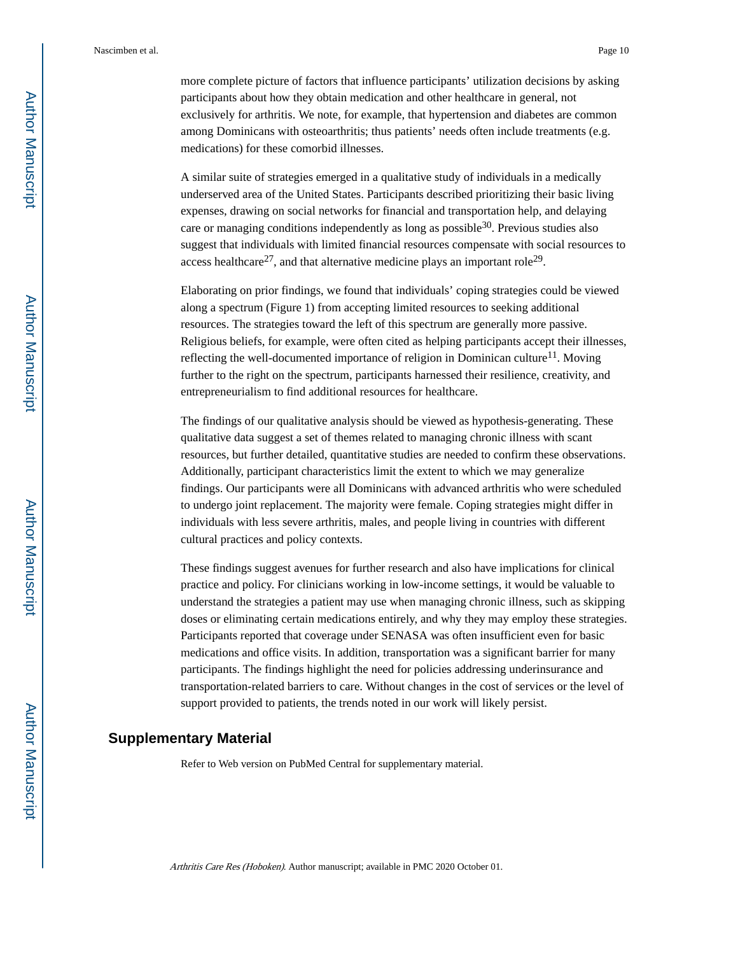more complete picture of factors that influence participants' utilization decisions by asking participants about how they obtain medication and other healthcare in general, not exclusively for arthritis. We note, for example, that hypertension and diabetes are common among Dominicans with osteoarthritis; thus patients' needs often include treatments (e.g. medications) for these comorbid illnesses.

A similar suite of strategies emerged in a qualitative study of individuals in a medically underserved area of the United States. Participants described prioritizing their basic living expenses, drawing on social networks for financial and transportation help, and delaying care or managing conditions independently as long as possible<sup>30</sup>. Previous studies also suggest that individuals with limited financial resources compensate with social resources to access healthcare<sup>27</sup>, and that alternative medicine plays an important role<sup>29</sup>.

Elaborating on prior findings, we found that individuals' coping strategies could be viewed along a spectrum (Figure 1) from accepting limited resources to seeking additional resources. The strategies toward the left of this spectrum are generally more passive. Religious beliefs, for example, were often cited as helping participants accept their illnesses, reflecting the well-documented importance of religion in Dominican culture<sup>11</sup>. Moving further to the right on the spectrum, participants harnessed their resilience, creativity, and entrepreneurialism to find additional resources for healthcare.

The findings of our qualitative analysis should be viewed as hypothesis-generating. These qualitative data suggest a set of themes related to managing chronic illness with scant resources, but further detailed, quantitative studies are needed to confirm these observations. Additionally, participant characteristics limit the extent to which we may generalize findings. Our participants were all Dominicans with advanced arthritis who were scheduled to undergo joint replacement. The majority were female. Coping strategies might differ in individuals with less severe arthritis, males, and people living in countries with different cultural practices and policy contexts.

These findings suggest avenues for further research and also have implications for clinical practice and policy. For clinicians working in low-income settings, it would be valuable to understand the strategies a patient may use when managing chronic illness, such as skipping doses or eliminating certain medications entirely, and why they may employ these strategies. Participants reported that coverage under SENASA was often insufficient even for basic medications and office visits. In addition, transportation was a significant barrier for many participants. The findings highlight the need for policies addressing underinsurance and transportation-related barriers to care. Without changes in the cost of services or the level of support provided to patients, the trends noted in our work will likely persist.

# **Supplementary Material**

Refer to Web version on PubMed Central for supplementary material.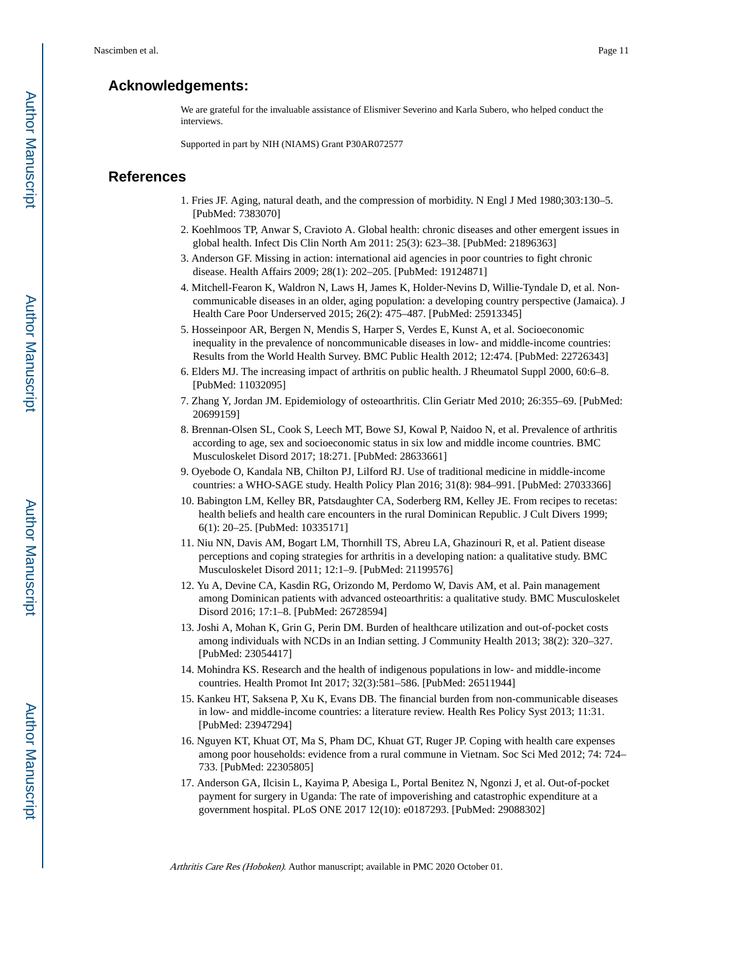# **Acknowledgements:**

We are grateful for the invaluable assistance of Elismiver Severino and Karla Subero, who helped conduct the interviews.

Supported in part by NIH (NIAMS) Grant P30AR072577

## **References**

- 1. Fries JF. Aging, natural death, and the compression of morbidity. N Engl J Med 1980;303:130–5. [PubMed: 7383070]
- 2. Koehlmoos TP, Anwar S, Cravioto A. Global health: chronic diseases and other emergent issues in global health. Infect Dis Clin North Am 2011: 25(3): 623–38. [PubMed: 21896363]
- 3. Anderson GF. Missing in action: international aid agencies in poor countries to fight chronic disease. Health Affairs 2009; 28(1): 202–205. [PubMed: 19124871]
- 4. Mitchell-Fearon K, Waldron N, Laws H, James K, Holder-Nevins D, Willie-Tyndale D, et al. Noncommunicable diseases in an older, aging population: a developing country perspective (Jamaica). J Health Care Poor Underserved 2015; 26(2): 475–487. [PubMed: 25913345]
- 5. Hosseinpoor AR, Bergen N, Mendis S, Harper S, Verdes E, Kunst A, et al. Socioeconomic inequality in the prevalence of noncommunicable diseases in low- and middle-income countries: Results from the World Health Survey. BMC Public Health 2012; 12:474. [PubMed: 22726343]
- 6. Elders MJ. The increasing impact of arthritis on public health. J Rheumatol Suppl 2000, 60:6–8. [PubMed: 11032095]
- 7. Zhang Y, Jordan JM. Epidemiology of osteoarthritis. Clin Geriatr Med 2010; 26:355–69. [PubMed: 20699159]
- 8. Brennan-Olsen SL, Cook S, Leech MT, Bowe SJ, Kowal P, Naidoo N, et al. Prevalence of arthritis according to age, sex and socioeconomic status in six low and middle income countries. BMC Musculoskelet Disord 2017; 18:271. [PubMed: 28633661]
- 9. Oyebode O, Kandala NB, Chilton PJ, Lilford RJ. Use of traditional medicine in middle-income countries: a WHO-SAGE study. Health Policy Plan 2016; 31(8): 984–991. [PubMed: 27033366]
- 10. Babington LM, Kelley BR, Patsdaughter CA, Soderberg RM, Kelley JE. From recipes to recetas: health beliefs and health care encounters in the rural Dominican Republic. J Cult Divers 1999; 6(1): 20–25. [PubMed: 10335171]
- 11. Niu NN, Davis AM, Bogart LM, Thornhill TS, Abreu LA, Ghazinouri R, et al. Patient disease perceptions and coping strategies for arthritis in a developing nation: a qualitative study. BMC Musculoskelet Disord 2011; 12:1–9. [PubMed: 21199576]
- 12. Yu A, Devine CA, Kasdin RG, Orizondo M, Perdomo W, Davis AM, et al. Pain management among Dominican patients with advanced osteoarthritis: a qualitative study. BMC Musculoskelet Disord 2016; 17:1–8. [PubMed: 26728594]
- 13. Joshi A, Mohan K, Grin G, Perin DM. Burden of healthcare utilization and out-of-pocket costs among individuals with NCDs in an Indian setting. J Community Health 2013; 38(2): 320–327. [PubMed: 23054417]
- 14. Mohindra KS. Research and the health of indigenous populations in low- and middle-income countries. Health Promot Int 2017; 32(3):581–586. [PubMed: 26511944]
- 15. Kankeu HT, Saksena P, Xu K, Evans DB. The financial burden from non-communicable diseases in low- and middle-income countries: a literature review. Health Res Policy Syst 2013; 11:31. [PubMed: 23947294]
- 16. Nguyen KT, Khuat OT, Ma S, Pham DC, Khuat GT, Ruger JP. Coping with health care expenses among poor households: evidence from a rural commune in Vietnam. Soc Sci Med 2012; 74: 724– 733. [PubMed: 22305805]
- 17. Anderson GA, Ilcisin L, Kayima P, Abesiga L, Portal Benitez N, Ngonzi J, et al. Out-of-pocket payment for surgery in Uganda: The rate of impoverishing and catastrophic expenditure at a government hospital. PLoS ONE 2017 12(10): e0187293. [PubMed: 29088302]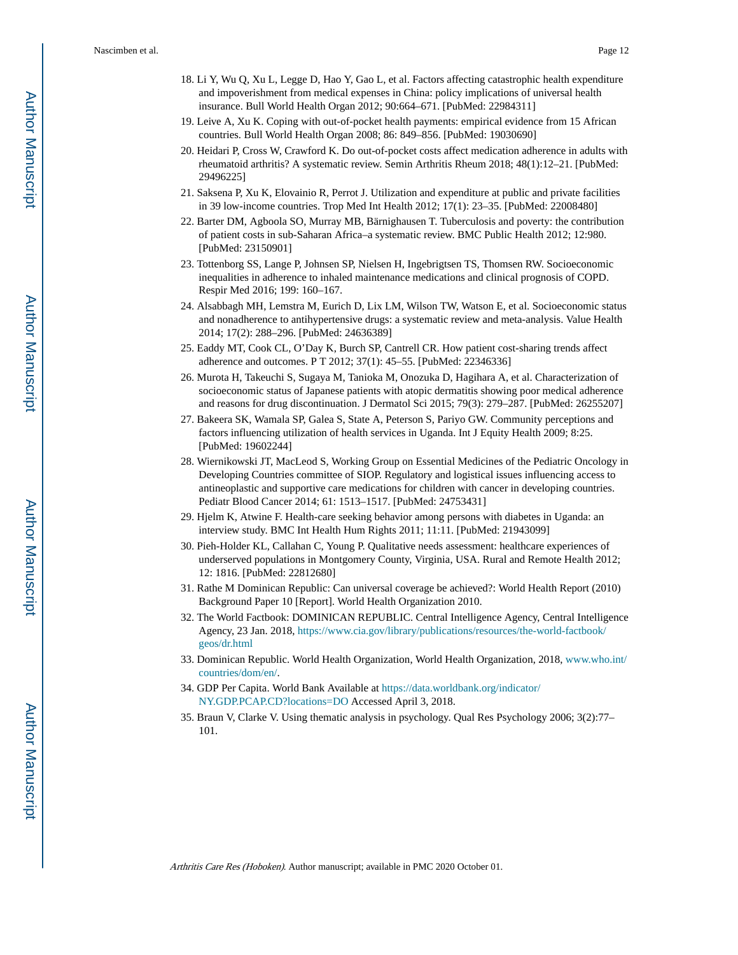- 18. Li Y, Wu Q, Xu L, Legge D, Hao Y, Gao L, et al. Factors affecting catastrophic health expenditure and impoverishment from medical expenses in China: policy implications of universal health insurance. Bull World Health Organ 2012; 90:664–671. [PubMed: 22984311]
- 19. Leive A, Xu K. Coping with out-of-pocket health payments: empirical evidence from 15 African countries. Bull World Health Organ 2008; 86: 849–856. [PubMed: 19030690]
- 20. Heidari P, Cross W, Crawford K. Do out-of-pocket costs affect medication adherence in adults with rheumatoid arthritis? A systematic review. Semin Arthritis Rheum 2018; 48(1):12–21. [PubMed: 29496225]
- 21. Saksena P, Xu K, Elovainio R, Perrot J. Utilization and expenditure at public and private facilities in 39 low-income countries. Trop Med Int Health 2012; 17(1): 23–35. [PubMed: 22008480]
- 22. Barter DM, Agboola SO, Murray MB, Bärnighausen T. Tuberculosis and poverty: the contribution of patient costs in sub-Saharan Africa–a systematic review. BMC Public Health 2012; 12:980. [PubMed: 23150901]
- 23. Tottenborg SS, Lange P, Johnsen SP, Nielsen H, Ingebrigtsen TS, Thomsen RW. Socioeconomic inequalities in adherence to inhaled maintenance medications and clinical prognosis of COPD. Respir Med 2016; 199: 160–167.
- 24. Alsabbagh MH, Lemstra M, Eurich D, Lix LM, Wilson TW, Watson E, et al. Socioeconomic status and nonadherence to antihypertensive drugs: a systematic review and meta-analysis. Value Health 2014; 17(2): 288–296. [PubMed: 24636389]
- 25. Eaddy MT, Cook CL, O'Day K, Burch SP, Cantrell CR. How patient cost-sharing trends affect adherence and outcomes. P T 2012; 37(1): 45–55. [PubMed: 22346336]
- 26. Murota H, Takeuchi S, Sugaya M, Tanioka M, Onozuka D, Hagihara A, et al. Characterization of socioeconomic status of Japanese patients with atopic dermatitis showing poor medical adherence and reasons for drug discontinuation. J Dermatol Sci 2015; 79(3): 279–287. [PubMed: 26255207]
- 27. Bakeera SK, Wamala SP, Galea S, State A, Peterson S, Pariyo GW. Community perceptions and factors influencing utilization of health services in Uganda. Int J Equity Health 2009; 8:25. [PubMed: 19602244]
- 28. Wiernikowski JT, MacLeod S, Working Group on Essential Medicines of the Pediatric Oncology in Developing Countries committee of SIOP. Regulatory and logistical issues influencing access to antineoplastic and supportive care medications for children with cancer in developing countries. Pediatr Blood Cancer 2014; 61: 1513–1517. [PubMed: 24753431]
- 29. Hjelm K, Atwine F. Health-care seeking behavior among persons with diabetes in Uganda: an interview study. BMC Int Health Hum Rights 2011; 11:11. [PubMed: 21943099]
- 30. Pieh-Holder KL, Callahan C, Young P. Qualitative needs assessment: healthcare experiences of underserved populations in Montgomery County, Virginia, USA. Rural and Remote Health 2012; 12: 1816. [PubMed: 22812680]
- 31. Rathe M Dominican Republic: Can universal coverage be achieved?: World Health Report (2010) Background Paper 10 [Report]. World Health Organization 2010.
- 32. The World Factbook: DOMINICAN REPUBLIC. Central Intelligence Agency, Central Intelligence Agency, 23 Jan. 2018, [https://www.cia.gov/library/publications/resources/the-world-factbook/](https://www.cia.gov/library/publications/resources/the-world-factbook/geos/dr.html) [geos/dr.html](https://www.cia.gov/library/publications/resources/the-world-factbook/geos/dr.html)
- 33. Dominican Republic. World Health Organization, World Health Organization, 2018, [www.who.int/](http://www.who.int/countries/dom/en/) [countries/dom/en/.](http://www.who.int/countries/dom/en/)
- 34. GDP Per Capita. World Bank Available at [https://data.worldbank.org/indicator/](https://data.worldbank.org/indicator/NY.GDP.PCAP.CD?locations=DO) [NY.GDP.PCAP.CD?locations=DO](https://data.worldbank.org/indicator/NY.GDP.PCAP.CD?locations=DO) Accessed April 3, 2018.
- 35. Braun V, Clarke V. Using thematic analysis in psychology. Qual Res Psychology 2006; 3(2):77– 101.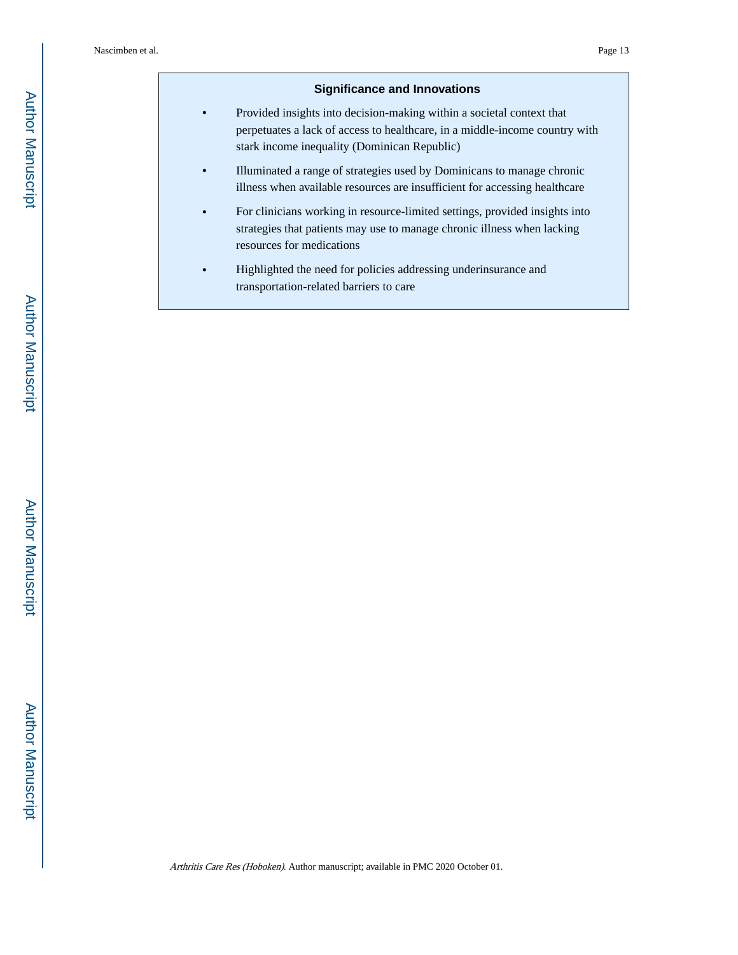# **Significance and Innovations**

- **•** Provided insights into decision-making within a societal context that perpetuates a lack of access to healthcare, in a middle-income country with stark income inequality (Dominican Republic)
- **•** Illuminated a range of strategies used by Dominicans to manage chronic illness when available resources are insufficient for accessing healthcare
- **•** For clinicians working in resource-limited settings, provided insights into strategies that patients may use to manage chronic illness when lacking resources for medications
- **•** Highlighted the need for policies addressing underinsurance and transportation-related barriers to care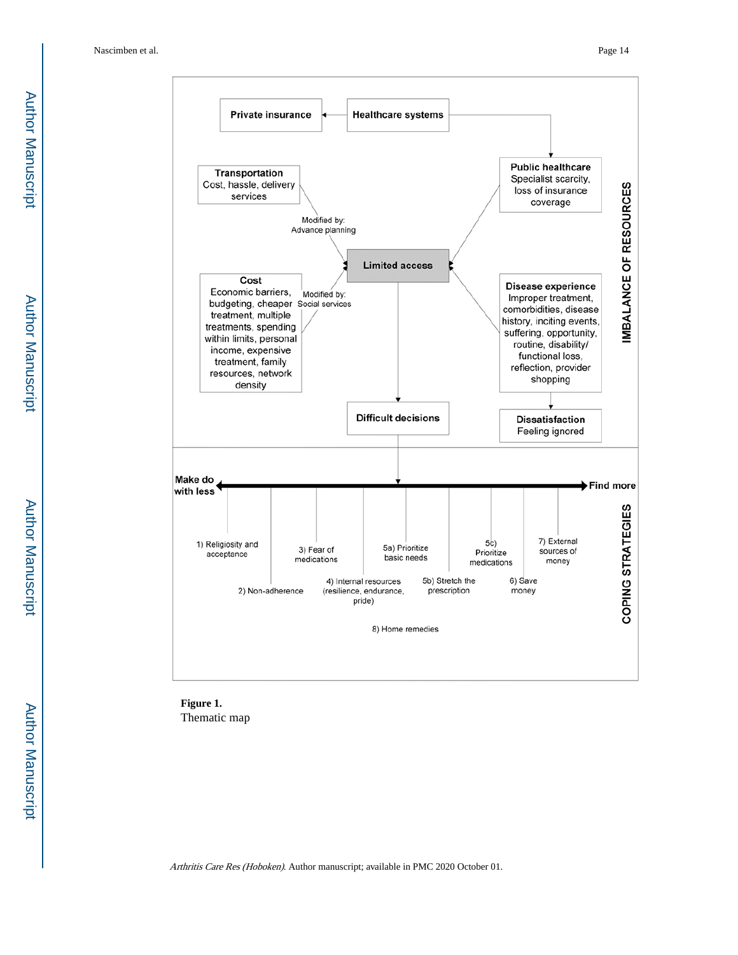

**Figure 1.**  Thematic map